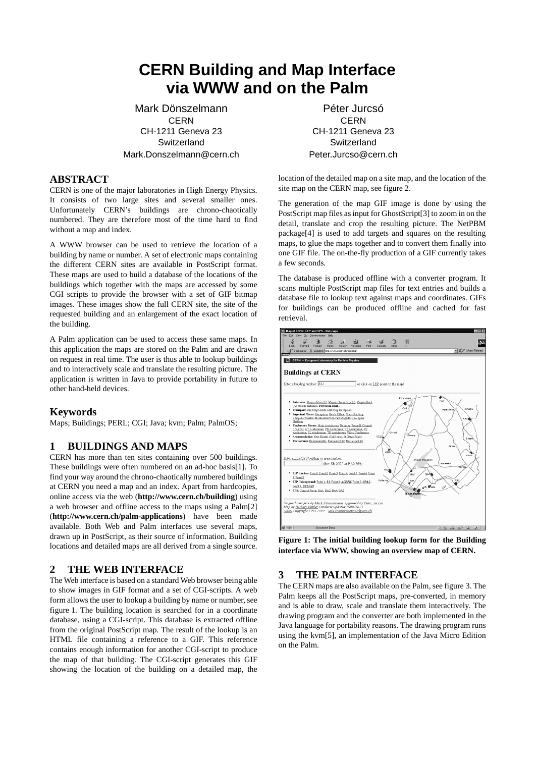# **CERN Building and Map Interface via WWW and on the Palm**

Mark Dönszelmann CERN CH-1211 Geneva 23 **Switzerland** Mark.Donszelmann@cern.ch

#### **ABSTRACT**

CERN is one of the major laboratories in High Energy Physics. It consists of two large sites and several smaller ones. Unfortunately CERN's buildings are chrono-chaotically numbered. They are therefore most of the time hard to find without a map and index.

A WWW browser can be used to retrieve the location of a building by name or number. A set of electronic maps containing the different CERN sites are available in PostScript format. These maps are used to build a database of the locations of the buildings which together with the maps are accessed by some CGI scripts to provide the browser with a set of GIF bitmap images. These images show the full CERN site, the site of the requested building and an enlargement of the exact location of the building.

A Palm application can be used to access these same maps. In this application the maps are stored on the Palm and are drawn on request in real time. The user is thus able to lookup buildings and to interactively scale and translate the resulting picture. The application is written in Java to provide portability in future to other hand-held devices.

#### **Keywords**

Maps; Buildings; PERL; CGI; Java; kvm; Palm; PalmOS;

## **1 BUILDINGS AND MAPS**

CERN has more than ten sites containing over 500 buildings. These buildings were often numbered on an ad-hoc basis[1]. To find your way around the chrono-chaotically numbered buildings at CERN you need a map and an index. Apart from hardcopies, online access via the web (**http://www.cern.ch/building**) using a web browser and offline access to the maps using a Palm[2] (**http://www.cern.ch/palm-applications**) have been made available. Both Web and Palm interfaces use several maps, drawn up in PostScript, as their source of information. Building locations and detailed maps are all derived from a single source.

#### **2 THE WEB INTERFACE**

The Web interface is based on a standard Web browser being able to show images in GIF format and a set of CGI-scripts. A web form allows the user to lookup a building by name or number, see figure 1. The building location is searched for in a coordinate database, using a CGI-script. This database is extracted offline from the original PostScript map. The result of the lookup is an HTML file containing a reference to a GIF. This reference contains enough information for another CGI-script to produce the map of that building. The CGI-script generates this GIF showing the location of the building on a detailed map, the

Péter Jurcsó **CERN** CH-1211 Geneva 23 **Switzerland** Peter.Jurcso@cern.ch

location of the detailed map on a site map, and the location of the site map on the CERN map, see figure 2.

The generation of the map GIF image is done by using the PostScript map files as input for GhostScript[3] to zoom in on the detail, translate and crop the resulting picture. The NetPBM package[4] is used to add targets and squares on the resulting maps, to glue the maps together and to convert them finally into one GIF file. The on-the-fly production of a GIF currently takes a few seconds.

The database is produced offline with a converter program. It scans multiple PostScript map files for text entries and builds a database file to lookup text against maps and coordinates. GIFs for buildings can be produced offline and cached for fast retrieval.



**Figure 1: The initial building lookup form for the Building interface via WWW, showing an overview map of CERN.**

## **3 THE PALM INTERFACE**

The CERN maps are also available on the Palm, see figure 3. The Palm keeps all the PostScript maps, pre-converted, in memory and is able to draw, scale and translate them interactively. The drawing program and the converter are both implemented in the Java language for portability reasons. The drawing program runs using the kvm[5], an implementation of the Java Micro Edition on the Palm.